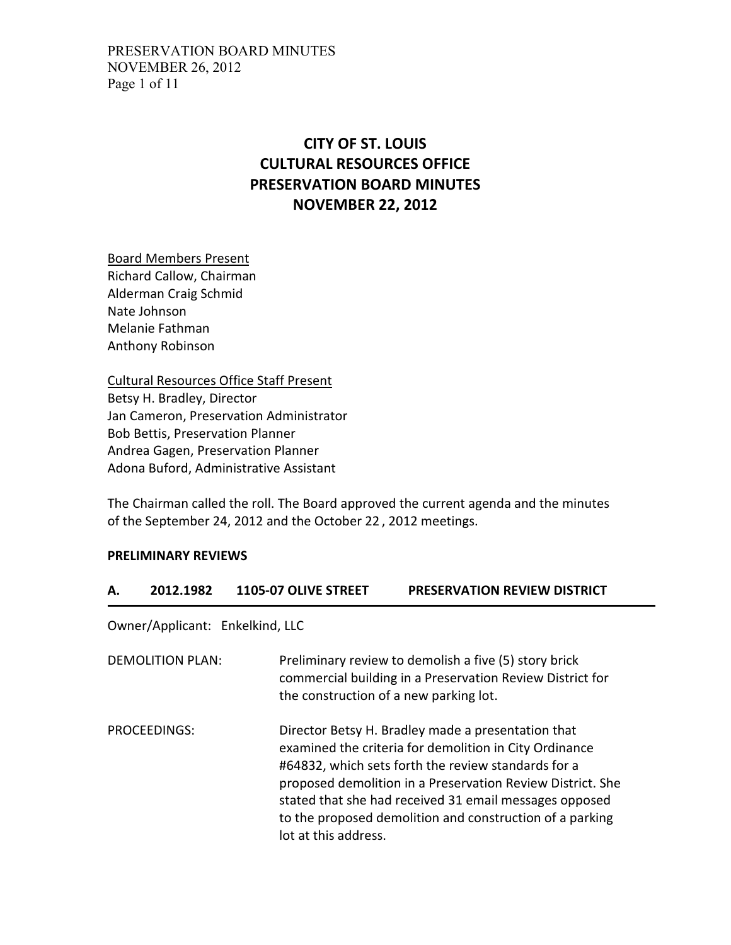# **CITY OF ST. LOUIS CULTURAL RESOURCES OFFICE PRESERVATION BOARD MINUTES NOVEMBER 22, 2012**

Board Members Present Richard Callow, Chairman Alderman Craig Schmid Nate Johnson Melanie Fathman Anthony Robinson

Cultural Resources Office Staff Present Betsy H. Bradley, Director Jan Cameron, Preservation Administrator Bob Bettis, Preservation Planner Andrea Gagen, Preservation Planner Adona Buford, Administrative Assistant

The Chairman called the roll. The Board approved the current agenda and the minutes of the September 24, 2012 and the October 22 , 2012 meetings.

#### **PRELIMINARY REVIEWS**

#### **A. 2012.1982 1105-07 OLIVE STREET PRESERVATION REVIEW DISTRICT**

Owner/Applicant: Enkelkind, LLC

| DEMOLITION PLAN: | Preliminary review to demolish a five (5) story brick<br>commercial building in a Preservation Review District for<br>the construction of a new parking lot.                                                                                                                                                                                                                    |
|------------------|---------------------------------------------------------------------------------------------------------------------------------------------------------------------------------------------------------------------------------------------------------------------------------------------------------------------------------------------------------------------------------|
| PROCEEDINGS:     | Director Betsy H. Bradley made a presentation that<br>examined the criteria for demolition in City Ordinance<br>#64832, which sets forth the review standards for a<br>proposed demolition in a Preservation Review District. She<br>stated that she had received 31 email messages opposed<br>to the proposed demolition and construction of a parking<br>lot at this address. |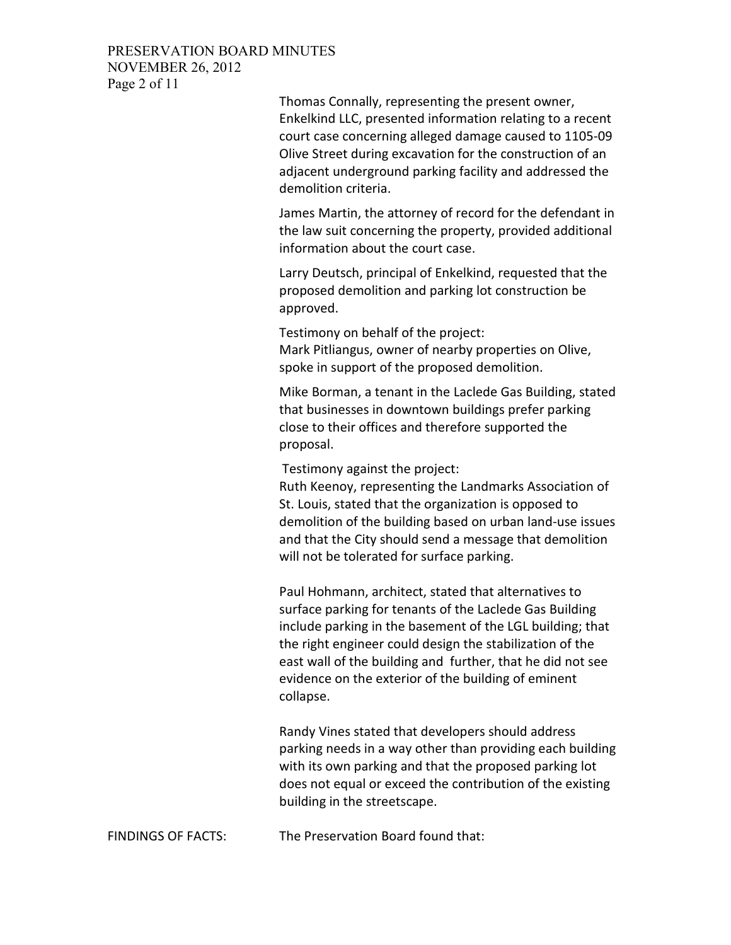### PRESERVATION BOARD MINUTES NOVEMBER 26, 2012 Page 2 of 11

Thomas Connally, representing the present owner, Enkelkind LLC, presented information relating to a recent court case concerning alleged damage caused to 1105-09 Olive Street during excavation for the construction of an adjacent underground parking facility and addressed the demolition criteria.

James Martin, the attorney of record for the defendant in the law suit concerning the property, provided additional information about the court case.

Larry Deutsch, principal of Enkelkind, requested that the proposed demolition and parking lot construction be approved.

Testimony on behalf of the project: Mark Pitliangus, owner of nearby properties on Olive, spoke in support of the proposed demolition.

Mike Borman, a tenant in the Laclede Gas Building, stated that businesses in downtown buildings prefer parking close to their offices and therefore supported the proposal.

Testimony against the project:

Ruth Keenoy, representing the Landmarks Association of St. Louis, stated that the organization is opposed to demolition of the building based on urban land-use issues and that the City should send a message that demolition will not be tolerated for surface parking.

Paul Hohmann, architect, stated that alternatives to surface parking for tenants of the Laclede Gas Building include parking in the basement of the LGL building; that the right engineer could design the stabilization of the east wall of the building and further, that he did not see evidence on the exterior of the building of eminent collapse.

Randy Vines stated that developers should address parking needs in a way other than providing each building with its own parking and that the proposed parking lot does not equal or exceed the contribution of the existing building in the streetscape.

```
FINDINGS OF FACTS: The Preservation Board found that:
```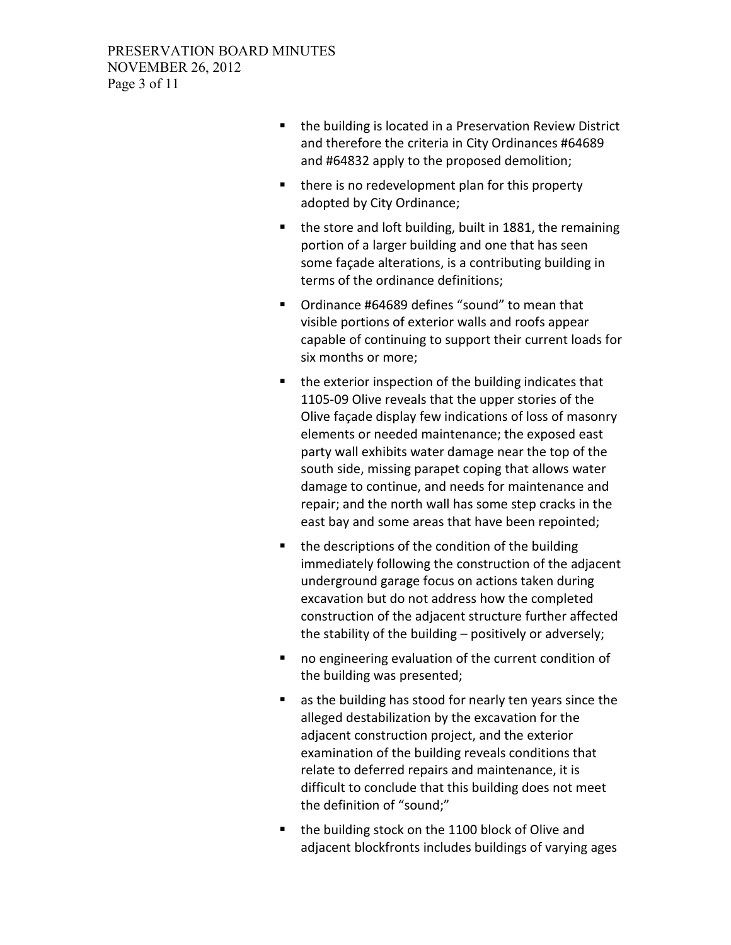- **the building is located in a Preservation Review District** and therefore the criteria in City Ordinances #64689 and #64832 apply to the proposed demolition;
- $\blacksquare$  there is no redevelopment plan for this property adopted by City Ordinance;
- the store and loft building, built in 1881, the remaining portion of a larger building and one that has seen some façade alterations, is a contributing building in terms of the ordinance definitions;
- Ordinance #64689 defines "sound" to mean that visible portions of exterior walls and roofs appear capable of continuing to support their current loads for six months or more;
- the exterior inspection of the building indicates that 1105-09 Olive reveals that the upper stories of the Olive façade display few indications of loss of masonry elements or needed maintenance; the exposed east party wall exhibits water damage near the top of the south side, missing parapet coping that allows water damage to continue, and needs for maintenance and repair; and the north wall has some step cracks in the east bay and some areas that have been repointed;
- the descriptions of the condition of the building immediately following the construction of the adjacent underground garage focus on actions taken during excavation but do not address how the completed construction of the adjacent structure further affected the stability of the building – positively or adversely;
- no engineering evaluation of the current condition of the building was presented;
- as the building has stood for nearly ten years since the alleged destabilization by the excavation for the adjacent construction project, and the exterior examination of the building reveals conditions that relate to deferred repairs and maintenance, it is difficult to conclude that this building does not meet the definition of "sound;"
- the building stock on the 1100 block of Olive and adjacent blockfronts includes buildings of varying ages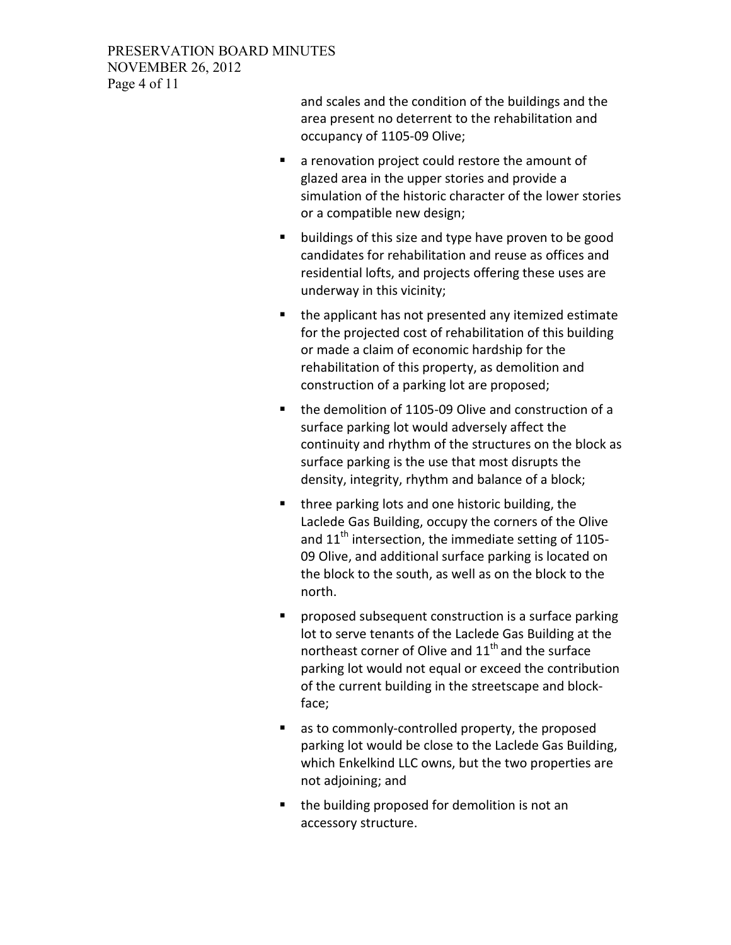### PRESERVATION BOARD MINUTES NOVEMBER 26, 2012 Page 4 of 11

and scales and the condition of the buildings and the area present no deterrent to the rehabilitation and occupancy of 1105-09 Olive;

- **a** renovation project could restore the amount of glazed area in the upper stories and provide a simulation of the historic character of the lower stories or a compatible new design;
- **•** buildings of this size and type have proven to be good candidates for rehabilitation and reuse as offices and residential lofts, and projects offering these uses are underway in this vicinity;
- the applicant has not presented any itemized estimate for the projected cost of rehabilitation of this building or made a claim of economic hardship for the rehabilitation of this property, as demolition and construction of a parking lot are proposed;
- the demolition of 1105-09 Olive and construction of a surface parking lot would adversely affect the continuity and rhythm of the structures on the block as surface parking is the use that most disrupts the density, integrity, rhythm and balance of a block;
- three parking lots and one historic building, the Laclede Gas Building, occupy the corners of the Olive and  $11<sup>th</sup>$  intersection, the immediate setting of 1105-09 Olive, and additional surface parking is located on the block to the south, as well as on the block to the north.
- **P** proposed subsequent construction is a surface parking lot to serve tenants of the Laclede Gas Building at the northeast corner of Olive and  $11<sup>th</sup>$  and the surface parking lot would not equal or exceed the contribution of the current building in the streetscape and blockface;
- as to commonly-controlled property, the proposed parking lot would be close to the Laclede Gas Building, which Enkelkind LLC owns, but the two properties are not adjoining; and
- the building proposed for demolition is not an accessory structure.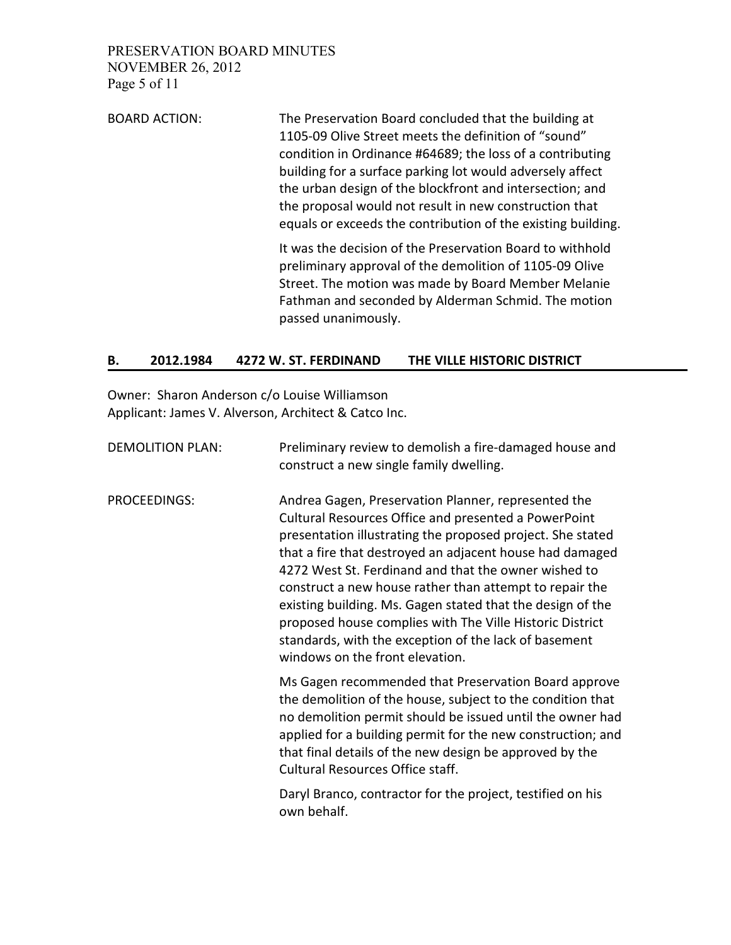PRESERVATION BOARD MINUTES NOVEMBER 26, 2012 Page 5 of 11

BOARD ACTION: The Preservation Board concluded that the building at 1105-09 Olive Street meets the definition of "sound" condition in Ordinance #64689; the loss of a contributing building for a surface parking lot would adversely affect the urban design of the blockfront and intersection; and the proposal would not result in new construction that equals or exceeds the contribution of the existing building.

> It was the decision of the Preservation Board to withhold preliminary approval of the demolition of 1105-09 Olive Street. The motion was made by Board Member Melanie Fathman and seconded by Alderman Schmid. The motion passed unanimously.

### **B. 2012.1984 4272 W. ST. FERDINAND THE VILLE HISTORIC DISTRICT**

Owner: Sharon Anderson c/o Louise Williamson Applicant: James V. Alverson, Architect & Catco Inc.

| <b>DEMOLITION PLAN:</b> | Preliminary review to demolish a fire-damaged house and<br>construct a new single family dwelling.                                                                                                                                                                                                                                                                                                                                                                                                                                                                             |
|-------------------------|--------------------------------------------------------------------------------------------------------------------------------------------------------------------------------------------------------------------------------------------------------------------------------------------------------------------------------------------------------------------------------------------------------------------------------------------------------------------------------------------------------------------------------------------------------------------------------|
| PROCEEDINGS:            | Andrea Gagen, Preservation Planner, represented the<br>Cultural Resources Office and presented a PowerPoint<br>presentation illustrating the proposed project. She stated<br>that a fire that destroyed an adjacent house had damaged<br>4272 West St. Ferdinand and that the owner wished to<br>construct a new house rather than attempt to repair the<br>existing building. Ms. Gagen stated that the design of the<br>proposed house complies with The Ville Historic District<br>standards, with the exception of the lack of basement<br>windows on the front elevation. |
|                         | Ms Gagen recommended that Preservation Board approve<br>the demolition of the house, subject to the condition that<br>no demolition permit should be issued until the owner had<br>applied for a building permit for the new construction; and<br>that final details of the new design be approved by the<br>Cultural Resources Office staff.                                                                                                                                                                                                                                  |
|                         | Daryl Branco, contractor for the project, testified on his<br>own behalf.                                                                                                                                                                                                                                                                                                                                                                                                                                                                                                      |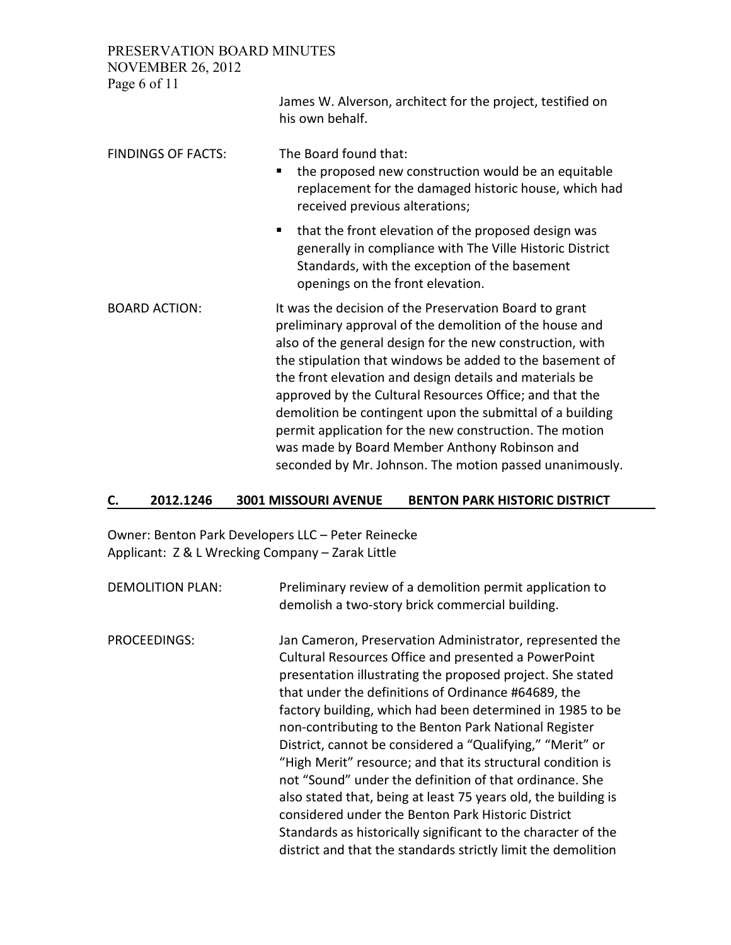PRESERVATION BOARD MINUTES

**NOVEMBER 26, 2012** 

| $110.7$ LIVIDLIV $20, 2012$<br>Page 6 of 11 | James W. Alverson, architect for the project, testified on<br>his own behalf.                                                                                                                                                                                                                                                                                                                                                                                                                                                                                                                        |
|---------------------------------------------|------------------------------------------------------------------------------------------------------------------------------------------------------------------------------------------------------------------------------------------------------------------------------------------------------------------------------------------------------------------------------------------------------------------------------------------------------------------------------------------------------------------------------------------------------------------------------------------------------|
| <b>FINDINGS OF FACTS:</b>                   | The Board found that:<br>the proposed new construction would be an equitable<br>п<br>replacement for the damaged historic house, which had<br>received previous alterations;                                                                                                                                                                                                                                                                                                                                                                                                                         |
|                                             | that the front elevation of the proposed design was<br>п<br>generally in compliance with The Ville Historic District<br>Standards, with the exception of the basement<br>openings on the front elevation.                                                                                                                                                                                                                                                                                                                                                                                            |
| <b>BOARD ACTION:</b>                        | It was the decision of the Preservation Board to grant<br>preliminary approval of the demolition of the house and<br>also of the general design for the new construction, with<br>the stipulation that windows be added to the basement of<br>the front elevation and design details and materials be<br>approved by the Cultural Resources Office; and that the<br>demolition be contingent upon the submittal of a building<br>permit application for the new construction. The motion<br>was made by Board Member Anthony Robinson and<br>seconded by Mr. Johnson. The motion passed unanimously. |

#### **C. 2012.1246 3001 MISSOURI AVENUE BENTON PARK HISTORIC DISTRICT**

Owner: Benton Park Developers LLC – Peter Reinecke Applicant: Z & L Wrecking Company – Zarak Little

DEMOLITION PLAN: Preliminary review of a demolition permit application to demolish a two-story brick commercial building. PROCEEDINGS: Jan Cameron, Preservation Administrator, represented the Cultural Resources Office and presented a PowerPoint presentation illustrating the proposed project. She stated that under the definitions of Ordinance #64689, the factory building, which had been determined in 1985 to be non-contributing to the Benton Park National Register District, cannot be considered a "Qualifying," "Merit" or "High Merit" resource; and that its structural condition is not "Sound" under the definition of that ordinance. She also stated that, being at least 75 years old, the building is considered under the Benton Park Historic District Standards as historically significant to the character of the district and that the standards strictly limit the demolition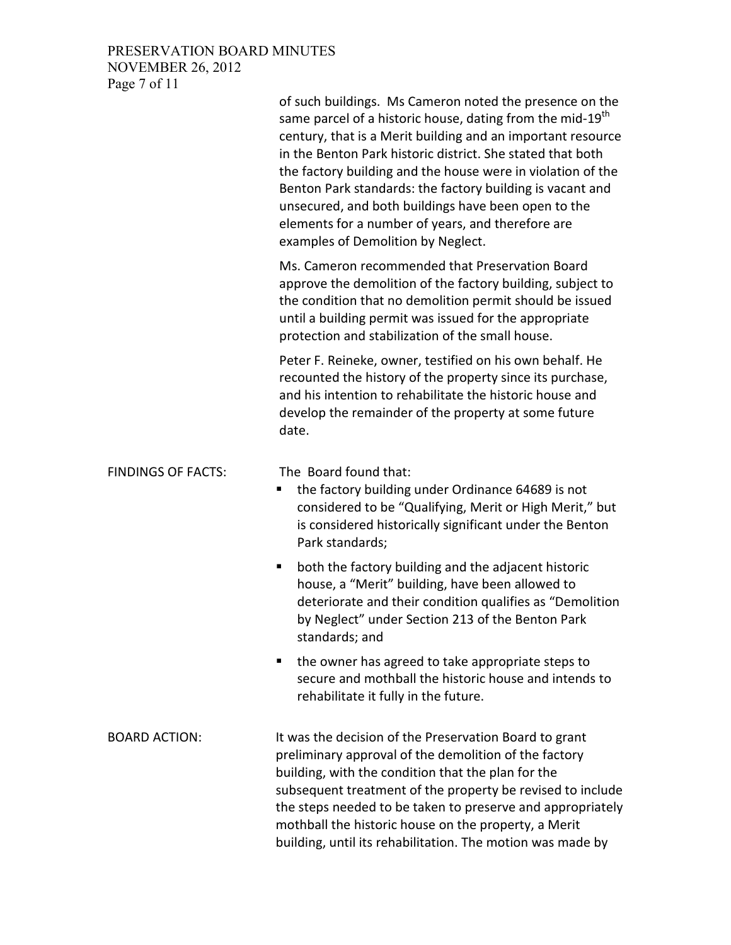# PRESERVATION BOARD MINUTES NOVEMBER 26, 2012 Page 7 of 11

|                           | of such buildings. Ms Cameron noted the presence on the<br>same parcel of a historic house, dating from the mid-19 <sup>th</sup><br>century, that is a Merit building and an important resource<br>in the Benton Park historic district. She stated that both<br>the factory building and the house were in violation of the<br>Benton Park standards: the factory building is vacant and<br>unsecured, and both buildings have been open to the<br>elements for a number of years, and therefore are<br>examples of Demolition by Neglect. |
|---------------------------|---------------------------------------------------------------------------------------------------------------------------------------------------------------------------------------------------------------------------------------------------------------------------------------------------------------------------------------------------------------------------------------------------------------------------------------------------------------------------------------------------------------------------------------------|
|                           | Ms. Cameron recommended that Preservation Board<br>approve the demolition of the factory building, subject to<br>the condition that no demolition permit should be issued<br>until a building permit was issued for the appropriate<br>protection and stabilization of the small house.                                                                                                                                                                                                                                                     |
|                           | Peter F. Reineke, owner, testified on his own behalf. He<br>recounted the history of the property since its purchase,<br>and his intention to rehabilitate the historic house and<br>develop the remainder of the property at some future<br>date.                                                                                                                                                                                                                                                                                          |
| <b>FINDINGS OF FACTS:</b> | The Board found that:<br>the factory building under Ordinance 64689 is not<br>п<br>considered to be "Qualifying, Merit or High Merit," but<br>is considered historically significant under the Benton<br>Park standards;                                                                                                                                                                                                                                                                                                                    |
|                           | both the factory building and the adjacent historic<br>٠<br>house, a "Merit" building, have been allowed to<br>deteriorate and their condition qualifies as "Demolition<br>by Neglect" under Section 213 of the Benton Park<br>standards; and                                                                                                                                                                                                                                                                                               |
|                           | the owner has agreed to take appropriate steps to<br>п<br>secure and mothball the historic house and intends to<br>rehabilitate it fully in the future.                                                                                                                                                                                                                                                                                                                                                                                     |
| <b>BOARD ACTION:</b>      | It was the decision of the Preservation Board to grant<br>preliminary approval of the demolition of the factory<br>building, with the condition that the plan for the<br>subsequent treatment of the property be revised to include<br>the steps needed to be taken to preserve and appropriately<br>mothball the historic house on the property, a Merit<br>building, until its rehabilitation. The motion was made by                                                                                                                     |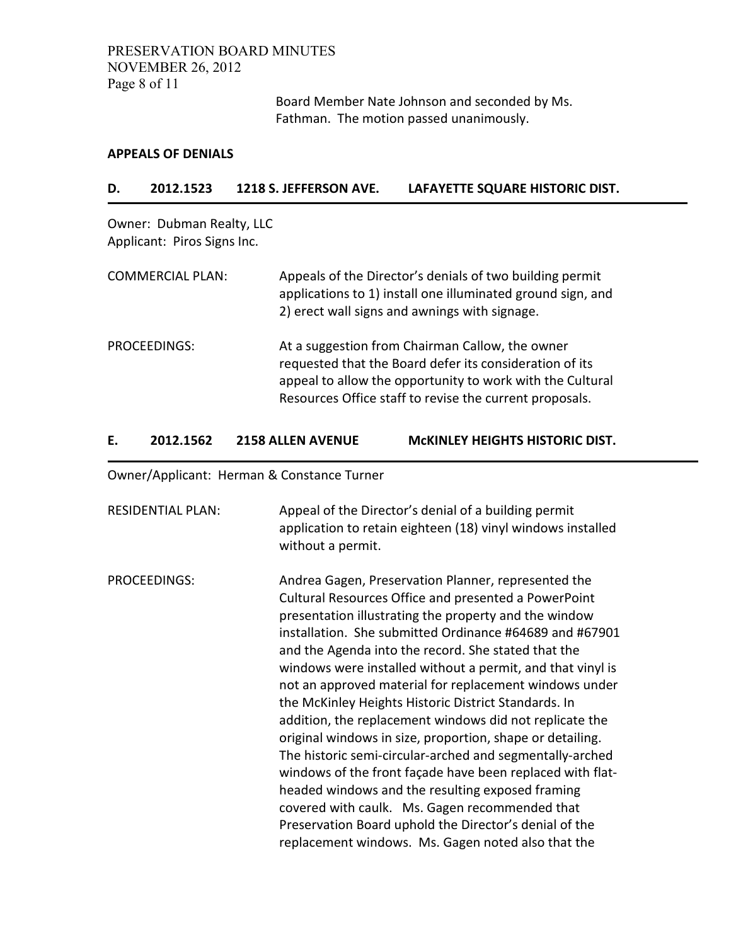### PRESERVATION BOARD MINUTES NOVEMBER 26, 2012 Page 8 of 11

Board Member Nate Johnson and seconded by Ms. Fathman. The motion passed unanimously.

#### **APPEALS OF DENIALS**

#### **D. 2012.1523 1218 S. JEFFERSON AVE. LAFAYETTE SQUARE HISTORIC DIST.**

Owner: Dubman Realty, LLC Applicant: Piros Signs Inc.

| <b>COMMERCIAL PLAN:</b> | Appeals of the Director's denials of two building permit<br>applications to 1) install one illuminated ground sign, and<br>2) erect wall signs and awnings with signage.                                                           |
|-------------------------|------------------------------------------------------------------------------------------------------------------------------------------------------------------------------------------------------------------------------------|
| PROCEEDINGS:            | At a suggestion from Chairman Callow, the owner<br>requested that the Board defer its consideration of its<br>appeal to allow the opportunity to work with the Cultural<br>Resources Office staff to revise the current proposals. |

### **E. 2012.1562 2158 ALLEN AVENUE McKINLEY HEIGHTS HISTORIC DIST.**

Owner/Applicant: Herman & Constance Turner

RESIDENTIAL PLAN: Appeal of the Director's denial of a building permit application to retain eighteen (18) vinyl windows installed without a permit. PROCEEDINGS: Andrea Gagen, Preservation Planner, represented the Cultural Resources Office and presented a PowerPoint presentation illustrating the property and the window installation. She submitted Ordinance #64689 and #67901 and the Agenda into the record. She stated that the windows were installed without a permit, and that vinyl is not an approved material for replacement windows under the McKinley Heights Historic District Standards. In addition, the replacement windows did not replicate the original windows in size, proportion, shape or detailing. The historic semi-circular-arched and segmentally-arched windows of the front façade have been replaced with flatheaded windows and the resulting exposed framing covered with caulk. Ms. Gagen recommended that Preservation Board uphold the Director's denial of the replacement windows. Ms. Gagen noted also that the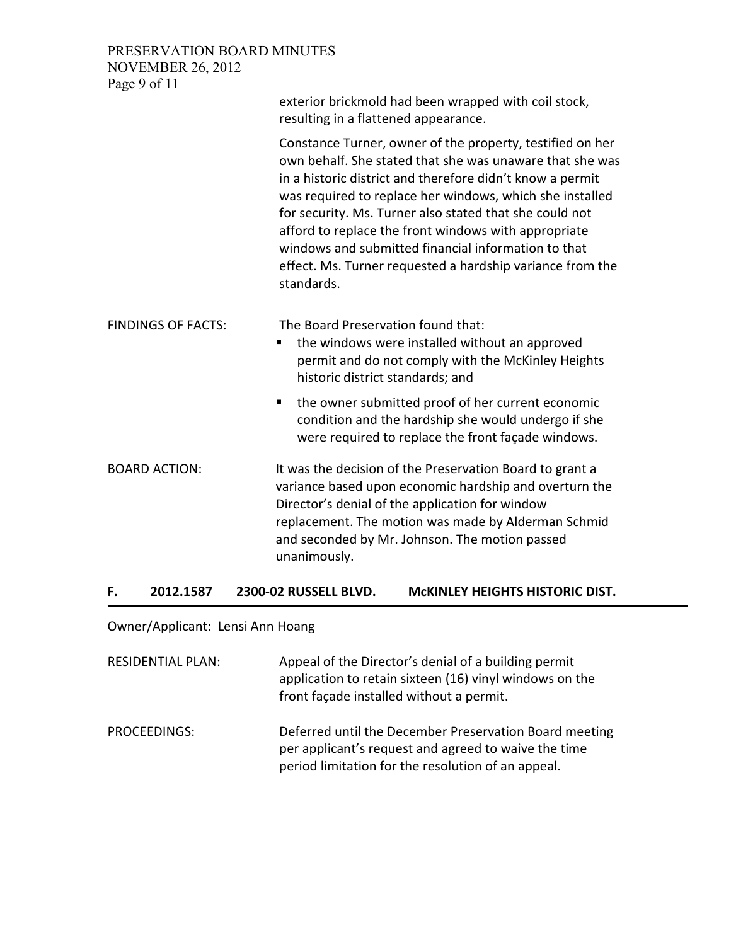### PRESERVATION BOARD MINUTES NOVEMBER 26, 2012 Page 9 of 11

|                           | exterior brickmold had been wrapped with coil stock,<br>resulting in a flattened appearance.                                                                                                                                                                                                                                                                                                                                                                                                        |
|---------------------------|-----------------------------------------------------------------------------------------------------------------------------------------------------------------------------------------------------------------------------------------------------------------------------------------------------------------------------------------------------------------------------------------------------------------------------------------------------------------------------------------------------|
|                           | Constance Turner, owner of the property, testified on her<br>own behalf. She stated that she was unaware that she was<br>in a historic district and therefore didn't know a permit<br>was required to replace her windows, which she installed<br>for security. Ms. Turner also stated that she could not<br>afford to replace the front windows with appropriate<br>windows and submitted financial information to that<br>effect. Ms. Turner requested a hardship variance from the<br>standards. |
| <b>FINDINGS OF FACTS:</b> | The Board Preservation found that:<br>the windows were installed without an approved<br>permit and do not comply with the McKinley Heights<br>historic district standards; and                                                                                                                                                                                                                                                                                                                      |
|                           | the owner submitted proof of her current economic<br>٠<br>condition and the hardship she would undergo if she<br>were required to replace the front façade windows.                                                                                                                                                                                                                                                                                                                                 |
| <b>BOARD ACTION:</b>      | It was the decision of the Preservation Board to grant a<br>variance based upon economic hardship and overturn the<br>Director's denial of the application for window<br>replacement. The motion was made by Alderman Schmid<br>and seconded by Mr. Johnson. The motion passed<br>unanimously.                                                                                                                                                                                                      |

### **F. 2012.1587 2300-02 RUSSELL BLVD. McKINLEY HEIGHTS HISTORIC DIST.**

Owner/Applicant: Lensi Ann Hoang

RESIDENTIAL PLAN: Appeal of the Director's denial of a building permit application to retain sixteen (16) vinyl windows on the front façade installed without a permit. PROCEEDINGS: Deferred until the December Preservation Board meeting

per applicant's request and agreed to waive the time period limitation for the resolution of an appeal.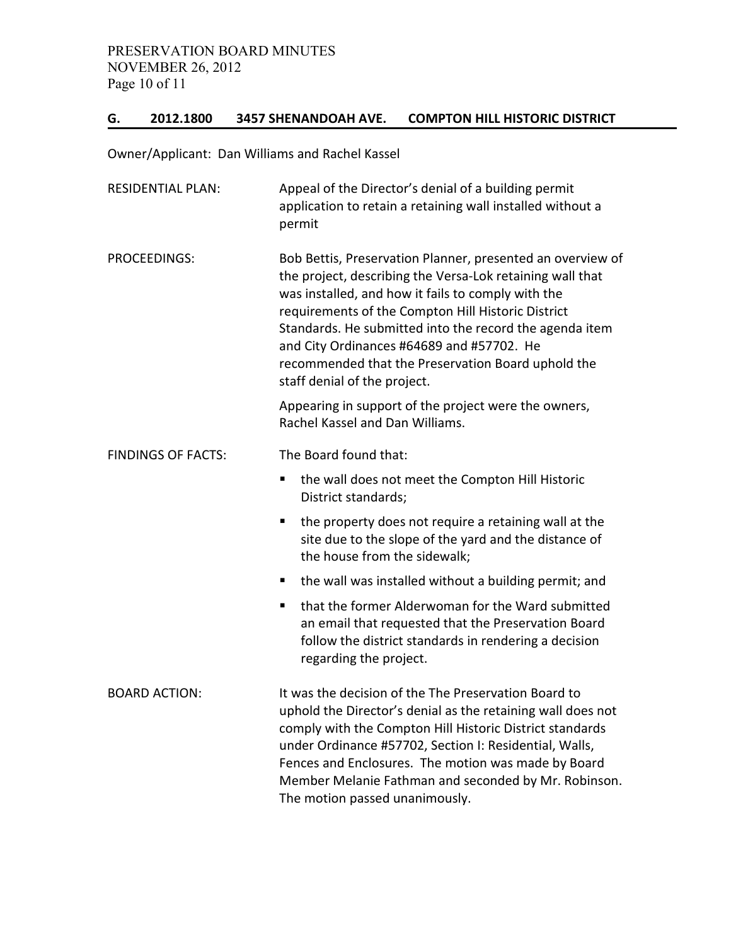## **G. 2012.1800 3457 SHENANDOAH AVE. COMPTON HILL HISTORIC DISTRICT**

Owner/Applicant: Dan Williams and Rachel Kassel

| <b>RESIDENTIAL PLAN:</b>  | Appeal of the Director's denial of a building permit<br>application to retain a retaining wall installed without a<br>permit                                                                                                                                                                                                                                                                                                      |
|---------------------------|-----------------------------------------------------------------------------------------------------------------------------------------------------------------------------------------------------------------------------------------------------------------------------------------------------------------------------------------------------------------------------------------------------------------------------------|
| PROCEEDINGS:              | Bob Bettis, Preservation Planner, presented an overview of<br>the project, describing the Versa-Lok retaining wall that<br>was installed, and how it fails to comply with the<br>requirements of the Compton Hill Historic District<br>Standards. He submitted into the record the agenda item<br>and City Ordinances #64689 and #57702. He<br>recommended that the Preservation Board uphold the<br>staff denial of the project. |
|                           | Appearing in support of the project were the owners,<br>Rachel Kassel and Dan Williams.                                                                                                                                                                                                                                                                                                                                           |
| <b>FINDINGS OF FACTS:</b> | The Board found that:                                                                                                                                                                                                                                                                                                                                                                                                             |
|                           | П<br>the wall does not meet the Compton Hill Historic<br>District standards;                                                                                                                                                                                                                                                                                                                                                      |
|                           | the property does not require a retaining wall at the<br>п<br>site due to the slope of the yard and the distance of<br>the house from the sidewalk;                                                                                                                                                                                                                                                                               |
|                           | the wall was installed without a building permit; and<br>п                                                                                                                                                                                                                                                                                                                                                                        |
|                           | that the former Alderwoman for the Ward submitted<br>п<br>an email that requested that the Preservation Board<br>follow the district standards in rendering a decision<br>regarding the project.                                                                                                                                                                                                                                  |
| <b>BOARD ACTION:</b>      | It was the decision of the The Preservation Board to<br>uphold the Director's denial as the retaining wall does not<br>comply with the Compton Hill Historic District standards<br>under Ordinance #57702, Section I: Residential, Walls,<br>Fences and Enclosures. The motion was made by Board<br>Member Melanie Fathman and seconded by Mr. Robinson.<br>The motion passed unanimously.                                        |